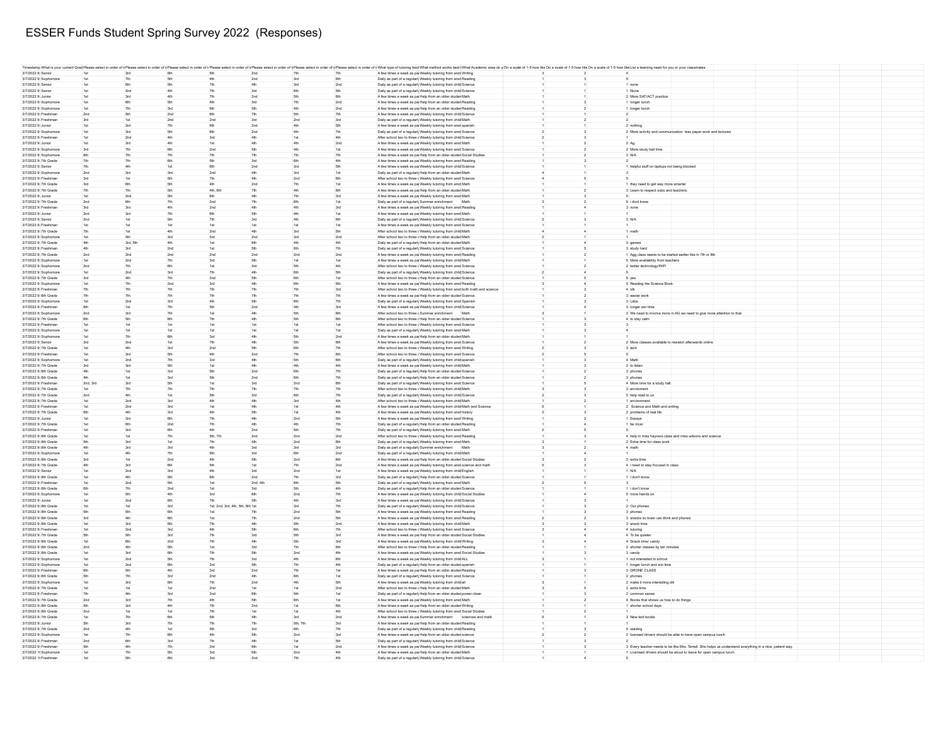## ESSER Funds Student Spring Survey 2022 (Responses)

|                       |                 |                 |     |                                  |            |            |                 | Timestamp What is your current Grad Please select in order of i Please select in order of i Please select in order of i Please select in order of i Please select in order of i Please select in order of i Please select in o |  |                                                                                                           |  |
|-----------------------|-----------------|-----------------|-----|----------------------------------|------------|------------|-----------------|--------------------------------------------------------------------------------------------------------------------------------------------------------------------------------------------------------------------------------|--|-----------------------------------------------------------------------------------------------------------|--|
| 3/7/2022 9: Senior    |                 | 3rd             |     | 5th                              | 2nd        | 7th        |                 | A few times a week as pa Weekly tutoring from anot Writing                                                                                                                                                                     |  |                                                                                                           |  |
| 3/7/2022 9: Sophomor  | 1st             | 7th             | 5th | 4th                              | 2nd        | 3rd        | 6th             | Daily as part of a regularly Weekly tutoring from anot Reading                                                                                                                                                                 |  |                                                                                                           |  |
| 3/7/2022 9: Senior    | 1st             | <b>Bth</b>      | 5th | 7th                              | 4th        | 3rd        | 2nd             | Daily as part of a regularly Weekly tutoring from child Science                                                                                                                                                                |  | 1 none                                                                                                    |  |
| 3/7/2022 9: Senior    | 1st             | 2nd             | 4th | 7th                              | 3rd        | <b>Bth</b> | 5th             | Daily as part of a regularly Weekly tutoring from child Science                                                                                                                                                                |  | 1 None                                                                                                    |  |
| 3/7/2022 9: Junior    | 1st             | 3rd             | 4th | 7th                              | 2nd        | 5th        | 6th             | A few times a week as pa Help from an older studen Math                                                                                                                                                                        |  | 2 More SAT/ACT practice                                                                                   |  |
| 3/7/2022 9: Sophomore | 1st             | 6th             | 5th | 4th                              | 3rd        | 7th        | 2nd             | A few times a week as pa Help from an older studer Reading                                                                                                                                                                     |  | 1 longer lunch                                                                                            |  |
|                       |                 |                 |     | <b>Bth</b>                       |            | 4th        |                 |                                                                                                                                                                                                                                |  |                                                                                                           |  |
| 3/7/2022 9: Sophomore | 1st             | 7th             | 3rd |                                  | 5th        |            | 2nd             | A few times a week as pa Help from an older studen Reading                                                                                                                                                                     |  | 1 longer lunch                                                                                            |  |
| 3/7/2022 9: Freshman  | 2nd             | 5th             | 2nd | 6th                              | 7th        |            | 7th             | A few times a week as pa Weekly tutoring from child Science                                                                                                                                                                    |  |                                                                                                           |  |
| 3/7/2022 9: Freshman  | 3rd             | 1st             | 2nd | 2nd                              | 3rd        | 2nd        | 3rd             | Daily as part of a regularly Weekly tutoring from child Math                                                                                                                                                                   |  |                                                                                                           |  |
| 3/7/2022 9: Junior    |                 | 3rd             |     |                                  | 2nd        |            |                 | A few times a week as pa Weekly tutoring from anot spanish                                                                                                                                                                     |  | 2 nothing                                                                                                 |  |
| 3/7/2022 9: Sophomor  |                 | 3rd             |     |                                  | 2nd        |            |                 | Daily as part of a regularly Weekly tutoring from anot Science                                                                                                                                                                 |  | 2 More activity and communication less paper work and lectures                                            |  |
| 3/7/2022 9: Freshma   |                 | 2nc             |     |                                  |            |            |                 | After school two to three (Weekly tutoring from child Science                                                                                                                                                                  |  |                                                                                                           |  |
| 3/7/2022 9: Junior    | 1st             | 3rd             | 4th | 1st                              | 4th        |            | 2nd             | A few times a week as pa Weekly tutoring from anot Math                                                                                                                                                                        |  | $2$ Ag                                                                                                    |  |
|                       |                 |                 |     |                                  |            |            |                 |                                                                                                                                                                                                                                |  |                                                                                                           |  |
| 3/7/2022 9: Sophomore |                 |                 |     | 2nd                              |            |            |                 | A few times a week as pa Weekly tutoring from anot Science                                                                                                                                                                     |  | 2 More study hall time                                                                                    |  |
| 3/7/2022 9: Sophomor  | 6th             | 70              |     |                                  | 7th        |            | 7th             | A few times a week as pa Help from an older studer Social Studies                                                                                                                                                              |  | 3 N/A                                                                                                     |  |
| 3/7/2022 9: 7th Grade | 7th             | 70              | 6th | 5th                              | 3rd        |            | 4th             | A few times a week as pa Weekly tutoring from anot Reading                                                                                                                                                                     |  |                                                                                                           |  |
| 3/7/2022 9: Senior    | 7th             | 4th             |     | <b>Bth</b>                       | 2nd        | 3rd        | <b>5th</b>      | A few times a week as pa Weekly tutoring from child Science                                                                                                                                                                    |  | 1 helpful stuff on laptops not being blocked                                                              |  |
| 3/7/2022 9: Sophomore | 2nd             | 3rd             | 3rd | 2nd                              | 4th        | 3rd        | 1st             | Daily as part of a regularly Help from an older studen Math                                                                                                                                                                    |  |                                                                                                           |  |
|                       |                 |                 |     |                                  |            |            |                 |                                                                                                                                                                                                                                |  |                                                                                                           |  |
| 3/7/2022 9: Freshman  | 3rd             | 1st             | 5th | 7th                              | 4th        | 2nd        | 6 <sub>th</sub> | After school two to three (Weekly tutoring from anot Science                                                                                                                                                                   |  |                                                                                                           |  |
| 3/7/2022 9: 7th Grade | 3rd             | 6th             | 5th | 4th                              | 2nd        | 7th        | 1st             | A few times a week as pa Weekly tutoring from anot Math                                                                                                                                                                        |  | 1 they need to get way more smarter                                                                       |  |
| 3/7/2022 9: 7th Grade | 7th             | 7th             | 5th | 4th, 6th                         | 7th        | 4th        |                 | A few times a week as pa Help from an older studen Math                                                                                                                                                                        |  | 3 Learn to respect subs and teachers.                                                                     |  |
| 3/7/2022 9: Junior    | 1st             | 2 <sub>nd</sub> |     | 6th                              | 4th        | 7th        |                 | A few times a week as pa Weekly tutoring from anot Math                                                                                                                                                                        |  |                                                                                                           |  |
| 3/7/2022 9: 7th Grade | 2nd             | 6th             |     | 2nd                              | 7th        |            |                 | Daily as part of a regularly Summer enrichment Math                                                                                                                                                                            |  | 5 i dont know                                                                                             |  |
| 3/7/2022 9: Freshma   |                 | 3rd             |     | 2nd                              |            |            |                 | A few times a week as pa Weekly tutoring from anot Reading                                                                                                                                                                     |  |                                                                                                           |  |
|                       |                 |                 |     |                                  |            |            |                 |                                                                                                                                                                                                                                |  | 3 none                                                                                                    |  |
| 3/7/2022 9: Junior    | 2n              | 3rd             |     |                                  |            |            |                 | A few times a week as pa Weekly tutoring from anot Math                                                                                                                                                                        |  |                                                                                                           |  |
| 3/7/2022 9: Senior    | 2nd             | 1st             | 5th | 7th                              | 3rd        |            | 6th             | Daily as part of a regularly Weekly tutoring from child Science                                                                                                                                                                |  | 3 N/A                                                                                                     |  |
| 3/7/2022 9: Freshma   |                 |                 |     |                                  |            |            |                 | A few times a week as pa Weekly tutoring from anot Science                                                                                                                                                                     |  |                                                                                                           |  |
| 3/7/2022 9: 7th Grade |                 | 1st             |     | 2nd                              |            |            |                 | After school two to three (Weekly tutoring from child Math                                                                                                                                                                     |  | 1 math                                                                                                    |  |
| 3/7/2022 9: Sophomor  | 1st             | 4th             | 3rd | 3rd                              | 2nd        | 3rd        | 2nd             | After school two to three chelp from an older studen Math                                                                                                                                                                      |  |                                                                                                           |  |
| 3/7/2022 9: 7th Grade |                 | 3rd, 5th        | 4th | 1st                              | 6th        |            | 4th             |                                                                                                                                                                                                                                |  | 3 games                                                                                                   |  |
|                       | 4th             |                 |     |                                  |            | 4th        |                 | Daily as part of a regularl <sub>)</sub> Help from an older studen Math                                                                                                                                                        |  |                                                                                                           |  |
| 3/7/2022 9: Freshman  | 4th             | 3rd             | 2nd | 1st                              | 5th        | 6th        | 7th             | Daily as part of a regularl <sub>)</sub> Weekly tutoring from anot Science                                                                                                                                                     |  | 3 study hard                                                                                              |  |
| 3/7/2022 9: 7th Grade | 2nd             | 2nd             | 2nd | 2nd                              | 2nd        | 2nd        | 2nd             | A few times a week as pa Weekly tutoring from anot Reading                                                                                                                                                                     |  | 1 Agg class needs to be started earlier like in 7th or 8th                                                |  |
| 3/7/2022 9: Sophomore | 1st             | 2nd             | 7th | 3rd                              | <b>5th</b> | 1st        | 1st             | A few times a week as pa Weekly tutoring from child Math                                                                                                                                                                       |  | 5 More availability from teachers                                                                         |  |
| 3/7/2022 9: Sophomore | 2nd             | 7th             | 6th | 1st                              | 3rd        | 5th        | 4th             | After school two to three (Weekly tutoring from anot Science                                                                                                                                                                   |  | 2 better technology/WiFi                                                                                  |  |
| 3/7/2022 9: Sophomore | 1st             | 2nd             | 3rd | 7th                              | 4th        |            |                 | Daily as part of a regularly Weekly tutoring from child Science                                                                                                                                                                |  |                                                                                                           |  |
|                       |                 |                 |     |                                  |            |            |                 |                                                                                                                                                                                                                                |  |                                                                                                           |  |
| 3/7/2022 9: 7th Grade | 3rd             | 4th             |     | 2nd                              |            |            |                 | After school two to three ( Help from an older studer Science                                                                                                                                                                  |  | 5 yes                                                                                                     |  |
| 3/7/2022 9: Sophomor  |                 | 7th             | 2nd |                                  |            |            |                 | A few times a week as pa Weekly tutoring from anot Reading                                                                                                                                                                     |  | 5 Reading the Science Book                                                                                |  |
| 3/7/2022 9: Freshma   |                 | 7th             |     |                                  |            |            |                 | After school two to three (Weekly tutoring from anot both math and science                                                                                                                                                     |  | 4 idk                                                                                                     |  |
| 3/7/2022 9: 8th Grade | 7th             | 7th             | 70  | 70 <sup>°</sup>                  |            |            |                 | A few times a week as pa Help from an older studer Science                                                                                                                                                                     |  | 3 easier work                                                                                             |  |
| 3/7/2022 9: Sophomore | 1st             | 2 <sub>nd</sub> | 3rd | 4th                              | 5th        | 6th        | 7th             | Daily as part of a regularl <sub>)</sub> Weekly tutoring from anot Spanish                                                                                                                                                     |  | 3 Labs                                                                                                    |  |
|                       |                 |                 |     |                                  |            |            |                 |                                                                                                                                                                                                                                |  |                                                                                                           |  |
| 3/7/2022 9: Freshman  | 6th             | 1st             | 7th |                                  | 2nd        |            | 3rd             | A few times a week as pa Weekly tutoring from child Science                                                                                                                                                                    |  | 3 longer win time                                                                                         |  |
| 3/7/2022 9: Sophomor  | 2nd             | 3rd             | 7th | 1st                              |            |            |                 | After school two to three (Summer enrichment Math                                                                                                                                                                              |  | 2 We need to involve more in AG we need to give more attention to that                                    |  |
| 3/7/2022 9: 7th Grade | 6th             | 5th             | 6th | 7th                              | 4th        | 5th        | <b>Bth</b>      | After school two to three c Help from an older studen Science                                                                                                                                                                  |  | 4 to stay calm                                                                                            |  |
| 3/7/2022 9: Freshman  | 1st             | 1st             |     | 1st                              | 1st        | 1st        | 1st             | After school two to three (Weekly tutoring from anot Science                                                                                                                                                                   |  |                                                                                                           |  |
| 3/7/2022 9: Sophomore | 1st             | 1st             | 1st | 1st                              | 1st        | 1st        | 1st             | Daily as part of a regularly Weekly tutoring from anot Math                                                                                                                                                                    |  |                                                                                                           |  |
| 3/7/2022 9: Sophomore | 1st             | 7th             | 6th | 3rd                              | 4th        | 5th        | 2nd             | A few times a week as pa Help from an older studen Math                                                                                                                                                                        |  |                                                                                                           |  |
|                       |                 |                 |     |                                  |            |            |                 |                                                                                                                                                                                                                                |  |                                                                                                           |  |
| 3/7/2022 9: Senior    | 3rd             | 2nd             |     | 7th                              | 4th        |            |                 | A few times a week as pa Weekly tutoring from anot Science                                                                                                                                                                     |  | 2 More classes available to rewatch afterwards online                                                     |  |
| 3/7/2022 9: 7th Grade | 1st             | 4th             | 3rd | 2nd                              | 5th        |            |                 | After school two to three (Weekly tutoring from anot Writing                                                                                                                                                                   |  | 3 tech                                                                                                    |  |
| 3/7/2022 9: Freshman  | 1st             | 3rd             | 5th |                                  | 2nd        |            |                 | After school two to three (Weekly tutoring from anot Science                                                                                                                                                                   |  |                                                                                                           |  |
| 3/7/2022 9: Sophomore |                 | 2nd             |     |                                  |            |            |                 | Daily as part of a regularl <sub>)</sub> Weekly tutoring from child spanish                                                                                                                                                    |  | 4 Math                                                                                                    |  |
| 3/7/2022 9: 7th Grade |                 | 3rd             |     |                                  |            |            |                 | A few times a week as pa Weekly tutoring from child Math                                                                                                                                                                       |  | 2 to lister                                                                                               |  |
|                       |                 |                 |     |                                  |            |            |                 |                                                                                                                                                                                                                                |  |                                                                                                           |  |
| 3/7/2022 9: 8th Grade | 4th             | 1st             | 3rd | 5th                              | 2nd        | 6th        | 7th             | Daily as part of a regularly Help from an older studen Science                                                                                                                                                                 |  | 3 phones                                                                                                  |  |
| 3/7/2022 9: 8th Grade | 4th             | 1st             | 3rd | 5th                              | 2nd        |            | 7th             | Daily as part of a regularly Help from an older studen Science                                                                                                                                                                 |  | 3 phones                                                                                                  |  |
| 3/7/2022 9: Freshman  | 2nd, 3rd        | $3rd$           | 5th |                                  | 3rd        | 2nd        | 6th             | Daily as part of a regularly Weekly tutoring from anot Science                                                                                                                                                                 |  | 4 More time for a study hall                                                                              |  |
| 3/7/2022 9: 7th Grade |                 | 7th             | 7th |                                  |            |            | 7th             | After school two to three (Weekly tutoring from child Math                                                                                                                                                                     |  | 3 envirome                                                                                                |  |
| 3/7/2022 9: 7th Grade | 2nd             | 4th             | 1st | 5th                              | 3rd        | <b>Bth</b> | 7th             | Daily as part of a regularly Weekly tutoring from child Science                                                                                                                                                                |  | 5 help read to us                                                                                         |  |
|                       |                 |                 |     |                                  |            |            |                 |                                                                                                                                                                                                                                |  |                                                                                                           |  |
| 3/7/2022 9: 7th Grade | 1st             | 2nd             | 3rd | 4th                              | 4th        | 3rd        | 4th             | After school two to three (Weekly tutoring from child Math                                                                                                                                                                     |  | 1 environmen                                                                                              |  |
| 3/7/2022 9: Freshman  | 1st             | 2nd             | 3rd | 1st                              | 4th        | 1st        | 4th             | A few times a week as pa Weekly tutoring from child Math and Science                                                                                                                                                           |  | 2 Science and Math and writing                                                                            |  |
| 3/7/2022 9: 7th Grade | 6th             | 4th             | 3rd | 4th                              | 5th        | 1st        | 4th             | A few times a week as pa Weekly tutoring from anot history                                                                                                                                                                     |  | 2 problems of real life                                                                                   |  |
| 3/7/2022 9: Junior    | 1st             | 3rd             | 6th | 7th                              | 4th        | 2nd        | 5th             | A few times a week as pa Weekly tutoring from anot Writing                                                                                                                                                                     |  | 1 Essays                                                                                                  |  |
| 3/7/2022 9: 7th Grade | 1st             | 6th             | 2nd | 7th                              | 4th        | 4th        | 7th             | Daily as part of a regularly Help from an older studer Reading                                                                                                                                                                 |  | 1 be nicer                                                                                                |  |
| 3/7/2022 9: Freshma   |                 | 3rd             | 6th |                                  | 2nd        |            |                 |                                                                                                                                                                                                                                |  |                                                                                                           |  |
|                       | 1st             |                 |     |                                  |            |            |                 | Daily as part of a regularly Weekly tutoring from anot Math                                                                                                                                                                    |  |                                                                                                           |  |
| 3/7/2022 9: 8th Grade |                 |                 |     | 5th, 7th                         | 2nd        | 2nd        | 2nd             | After school two to three (Weekly tutoring from anot Reading                                                                                                                                                                   |  | 4 help in miss hayners class and miss wilsons and science                                                 |  |
| 3/7/2022 9: 8th Grade |                 | 3rd             |     |                                  |            |            |                 | Daily as part of a regularly Weekly tutoring from anot Math                                                                                                                                                                    |  | 2 Extra time for class work                                                                               |  |
| 3/7/2022 9: 8th Grade | 4th             | 3rd             | 3rd | 4th                              | 3rd        | 3rd        | 3rd             | Daily as part of a regularly Summer enrichment Math                                                                                                                                                                            |  | 4 math                                                                                                    |  |
| 3/7/2022 9: Sophomor  |                 | 4th             | 7th | 5th                              | 3rd        | 6th        | 2nd             | Daily as part of a regularly Weekly tutoring from child Math                                                                                                                                                                   |  |                                                                                                           |  |
| 3/7/2022 9: 8th Grade | 3rd             | 1st             | 2nd | 4th                              | 5th        | 2nd        | 6 <sub>th</sub> | A few times a week as pa Help from an older studen Social Studies                                                                                                                                                              |  | 3 extra time                                                                                              |  |
| 3/7/2022 9: 7th Grade |                 |                 | 6th | 5th                              |            | 7th        | 2nd             |                                                                                                                                                                                                                                |  |                                                                                                           |  |
|                       |                 | 3rd             |     |                                  | 1st        |            |                 | A few times a week as pa Weekly tutoring from anot science and math                                                                                                                                                            |  | 4 i need to stay focused in class                                                                         |  |
| 3/7/2022 9: Senior    | 1st             | 2nd             | 3rd | 4th                              | 3rd        | 2nd        | 1st             | A few times a week as pa Weekly tutoring from child English                                                                                                                                                                    |  | 1 N/A                                                                                                     |  |
| 3/7/2022 9: 8th Grade | 1st             | 4th             | 5th | 6th                              | 2nd        | 7th        | 3rd             | Daily as part of a regularl <sub>)</sub> Help from an older studer Science                                                                                                                                                     |  | 1 I don't know                                                                                            |  |
| 3/7/2022 9: Freshman  | 1st             | 2nd             | 5th | 1st                              | 2nd, 4th   | 6th        | <b>5th</b>      | Daily as part of a regularly Weekly tutoring from anot Math                                                                                                                                                                    |  |                                                                                                           |  |
| 3/7/2022 9: 8th Grade | 6th             | 7th             | 2nd | 1st                              | 3rd        | 5th        | 4th             | Daily as part of a regularly Help from an older studer Science                                                                                                                                                                 |  | 1 i don't know                                                                                            |  |
| 3/7/2022 9: Sophomore | 1st             | 5th             | 4th | 3rd                              | 6th        | 2nd        |                 | A few times a week as pa Weekly tutoring from child Social Studies                                                                                                                                                             |  | 5 more hands on                                                                                           |  |
| 3/7/2022 9: Junior    | 1st             | 2nd             | 6th |                                  |            | 4th        |                 | A few times a week as pa Weekly tutoring from child Science                                                                                                                                                                    |  |                                                                                                           |  |
|                       |                 |                 |     |                                  |            |            |                 |                                                                                                                                                                                                                                |  |                                                                                                           |  |
| 3/7/2022 9: 8th Grade | 1st             | 1st             | 3rd | 1st, 2nd, 3rd, 4th, 5th, 6th 1st |            | 3rd        | 7th             | Daily as part of a regularly Weekly tutoring from child Science                                                                                                                                                                |  | 2 Our phones                                                                                              |  |
| 3/7/2022 9: 8th Grad  | 5th             | 5th             |     |                                  |            | 2nd        |                 | A few times a week as pa Weekly tutoring from anot Reading                                                                                                                                                                     |  | 3 phones                                                                                                  |  |
| 3/7/2022 9: 8th Grade |                 |                 |     |                                  |            |            |                 | A few times a week as pa Weekly tutoring from anot Reading                                                                                                                                                                     |  | 3 snacks so brain can think and phones                                                                    |  |
| 3/7/2022 9: 8th Grade | 1st             | 3rd             | 6th |                                  | 4th        | 5th        | 2nd             | A few times a week as pa Weekly tutoring from child Math                                                                                                                                                                       |  | 3 snack time                                                                                              |  |
| 3/7/2022 9: Freshman  | 1st             | 2nd             | 3rd | 4th                              | 5th        | <b>Bth</b> | 7th             | After school two to three (Weekly tutoring from anot Science                                                                                                                                                                   |  | 4 tutoring                                                                                                |  |
| 3/7/2022 9: 7th Grade | 5th             | 5th             | 3rd | 7th                              | 3rd        | <b>5th</b> | 3rd             | A few times a week as pa Help from an older studer Social Studies                                                                                                                                                              |  | 4 To be quieter                                                                                           |  |
|                       |                 |                 |     |                                  |            |            |                 |                                                                                                                                                                                                                                |  |                                                                                                           |  |
| 3/7/2022 9: 8th Grade |                 | 6th             | 2nd | 7th                              | 4th        | 5th        | 3rd             | A few times a week as pa Weekly tutoring from child Writing                                                                                                                                                                    |  | 4 Snack time/ candy                                                                                       |  |
| 3/7/2022 9: 8th Grade | 2nd             | 4th             | 5th | 1st                              | 3rd        | 7th        | <b>Bth</b>      | After school two to three c Help from an older studen Reading                                                                                                                                                                  |  | 2 shorter classes by ten minutes                                                                          |  |
| 3/7/2022 9: 8th Grade | 1st             | 3rd             | 6th | 7th                              | 5th        | 2nd        | 4th             | A few times a week as pa Weekly tutoring from anot Social Studies                                                                                                                                                              |  | 3 candy                                                                                                   |  |
| 3/7/2022 9: Sophomore | 1st             | 2nd             | 5th | 7th                              | 3rd        | 4th        | 6 <sub>th</sub> | A few times a week as pa Weekly tutoring from child ALL                                                                                                                                                                        |  | 1 not interested in school                                                                                |  |
| 3/7/2022 9: Sophomore | 1st             | 2nd             | 6th | 3rd                              | 5th        | 7th        | 4th             | Daily as part of a regularly Help from an older studen spanish                                                                                                                                                                 |  | 1 longer lunch and win time                                                                               |  |
|                       |                 |                 |     |                                  |            |            |                 |                                                                                                                                                                                                                                |  |                                                                                                           |  |
| 3/7/2022 9: Freshman  | 6th             | 5th             | 4th | 3rd                              | 2nd        | 7th        |                 | A few times a week as pa Help from an older studer Reading                                                                                                                                                                     |  | 3 DRONE CLASS                                                                                             |  |
| 3/7/2022 9: 8th Grade | 5th             | 7th             | 3rd | 2nd                              | 4th        | 6th        |                 | Daily as part of a regularly Weekly tutoring from anot Science                                                                                                                                                                 |  | 2 phones                                                                                                  |  |
| 3/7/2022 9: Sophomore |                 | 3rd             |     |                                  | 2nd        |            |                 | A few times a week as pa Weekly tutoring from child all                                                                                                                                                                        |  | 2 make it more interesting idk                                                                            |  |
| 3/7/2022 9: 7th Grade |                 |                 |     |                                  |            |            |                 | After school two to three c Help from an older studer Math                                                                                                                                                                     |  | 2 extra time                                                                                              |  |
|                       |                 |                 | 3rd | 2nd                              |            |            |                 | Daily as part of a regularly Help from an older studen power clean                                                                                                                                                             |  | 2 common sense                                                                                            |  |
|                       |                 |                 |     |                                  |            |            |                 | A few times a week as pa Weekly tutoring from anot Math                                                                                                                                                                        |  | 4 Books that shows us how to do things                                                                    |  |
| 3/7/2022 9: Freshman  |                 |                 |     |                                  |            |            |                 |                                                                                                                                                                                                                                |  |                                                                                                           |  |
| 3/7/2022 9: 7th Grade | 2nd             | 3rd             |     |                                  | 5th        |            |                 |                                                                                                                                                                                                                                |  |                                                                                                           |  |
| 3/7/2022 9: 8th Grade |                 | 3rd             | 4th |                                  | 2nd        | 1st        |                 | A few times a week as pa Help from an older studen Writing                                                                                                                                                                     |  | 1 shorter school days                                                                                     |  |
| 3/7/2022 9: 8th Grade | 2 <sub>nd</sub> | 1st             | 1st | 7th                              | 1st        | 1st        | 4th             | After school two to three (Weekly tutoring from anot Social Studies                                                                                                                                                            |  |                                                                                                           |  |
| 3/7/2022 9: 7th Grade | 1st             | 70              |     |                                  | 4th        | 3rd        | 2nd             |                                                                                                                                                                                                                                |  |                                                                                                           |  |
| 3/7/2022 9: Junior    | 5th             | 3rd             |     |                                  | 7th        | 5th, 7th   | 3rd             | A few times a week as pa Summer enrichment sciences and math<br>A few times a week as pa Help from an older studen Reading                                                                                                     |  | 3 New text books                                                                                          |  |
|                       |                 |                 |     |                                  |            |            |                 |                                                                                                                                                                                                                                |  |                                                                                                           |  |
| 3/7/2022 9: 7th Grade | 2nd             | 4th             |     | 5th                              | 3rd        | 6th        | 7th             | Daily as part of a regularly Weekly tutoring from child Reading                                                                                                                                                                |  | 5 reading                                                                                                 |  |
| 3/7/2022 9: Sophomore | 1st             | 7th             | 6th | 4th                              | 5th        | 2nd        | 3rd             | A few times a week as pa Help from an older studen science                                                                                                                                                                     |  | 2 licensed drivers should be able to have open campus lunch                                               |  |
| 3/7/2022 9: Freshman  | 2nd             | 6th             | 3rd | 7th                              | 4th        | 1st        |                 | Daily as part of a regularly Weekly tutoring from child Science                                                                                                                                                                |  |                                                                                                           |  |
| 3/7/2022 9: Freshman  | 5th             | 4th             | 7th | 3rd                              | 6th        | 1st        | 2nd             | A few times a week as pa Weekly tutoring from child Science                                                                                                                                                                    |  | 3 Every teacher needs to be like Mrs. Terrell. She helps us understand everything in a nice, patient way. |  |
| 3/7/2022 1( Sophomore | 1st             | 7th             | 5th | 3rd                              | 6th        | 2nd        | 4th             | A few times a week as pa Help from an older studen Math                                                                                                                                                                        |  | 1 Licensed drivers should be aloud to leave for open campus lunch.                                        |  |
| 3/7/2022 1(Freshman   | 1st             |                 | 6th | 3rd                              | 2nd        |            | 4th             | Daily as part of a regularly Weekly tutoring from child Science                                                                                                                                                                |  |                                                                                                           |  |